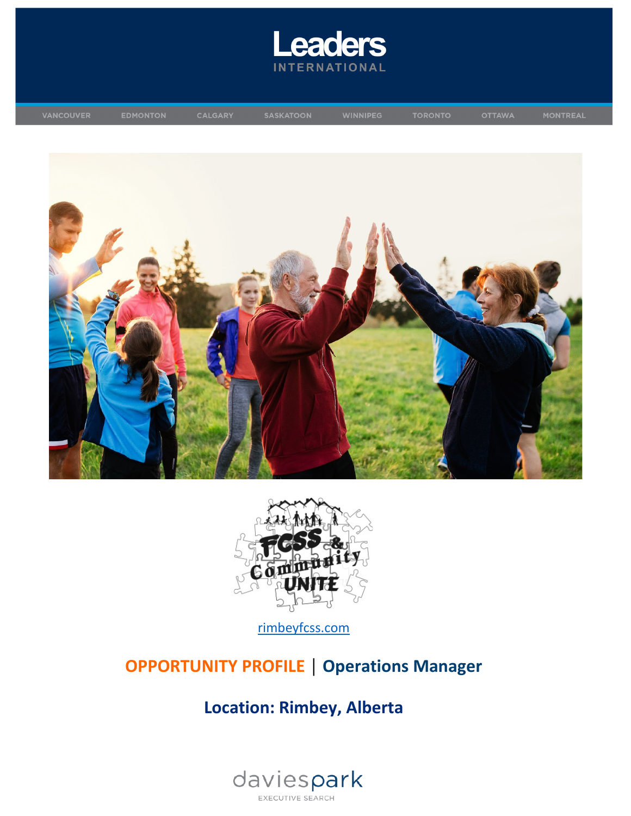





[rimbeyfcss.com](https://rimbeyfcss.com/)

# **OPPORTUNITY PROFILE │ Operations Manager**

# **Location: Rimbey, Alberta**

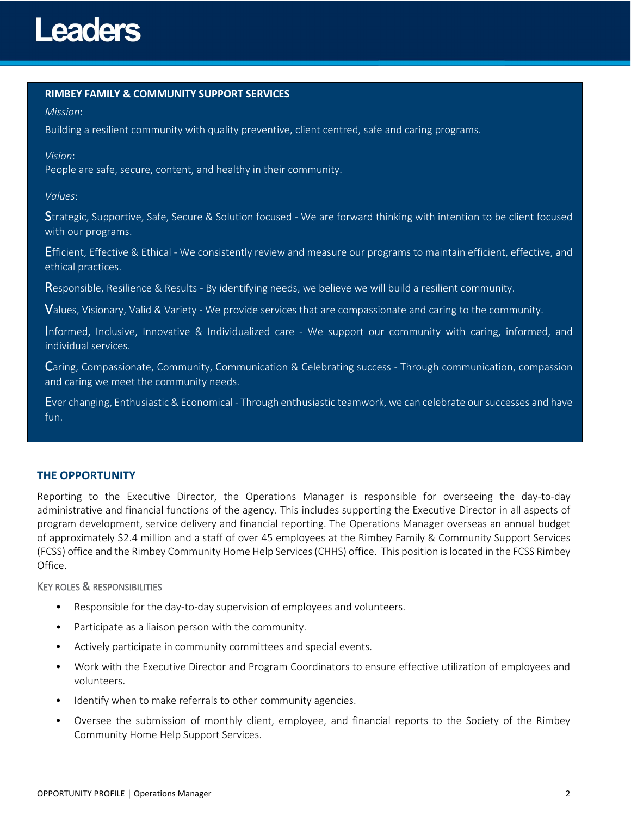### **RIMBEY FAMILY & COMMUNITY SUPPORT SERVICES**

#### *Mission*:

Building a resilient community with quality preventive, client centred, safe and caring programs.

#### *Vision*:

People are safe, secure, content, and healthy in their community.

### *Values*:

Strategic, Supportive, Safe, Secure & Solution focused - We are forward thinking with intention to be client focused with our programs.

Efficient, Effective & Ethical - We consistently review and measure our programs to maintain efficient, effective, and ethical practices.

Responsible, Resilience & Results - By identifying needs, we believe we will build a resilient community.

Values, Visionary, Valid & Variety - We provide services that are compassionate and caring to the community.

Informed, Inclusive, Innovative & Individualized care - We support our community with caring, informed, and individual services.

Caring, Compassionate, Community, Communication & Celebrating success - Through communication, compassion and caring we meet the community needs.

Ever changing, Enthusiastic & Economical - Through enthusiastic teamwork, we can celebrate our successes and have fun.

### **THE OPPORTUNITY**

Reporting to the Executive Director, the Operations Manager is responsible for overseeing the day-to-day administrative and financial functions of the agency. This includes supporting the Executive Director in all aspects of program development, service delivery and financial reporting. The Operations Manager overseas an annual budget of approximately \$2.4 million and a staff of over 45 employees at the Rimbey Family & Community Support Services (FCSS) office and the Rimbey Community Home Help Services (CHHS) office. This position is located in the FCSS Rimbey Office.

### KEY ROLES & RESPONSIBILITIES

- Responsible for the day-to-day supervision of employees and volunteers.
- Participate as a liaison person with the community.
- Actively participate in community committees and special events.
- Work with the Executive Director and Program Coordinators to ensure effective utilization of employees and volunteers.
- Identify when to make referrals to other community agencies.
- Oversee the submission of monthly client, employee, and financial reports to the Society of the Rimbey Community Home Help Support Services.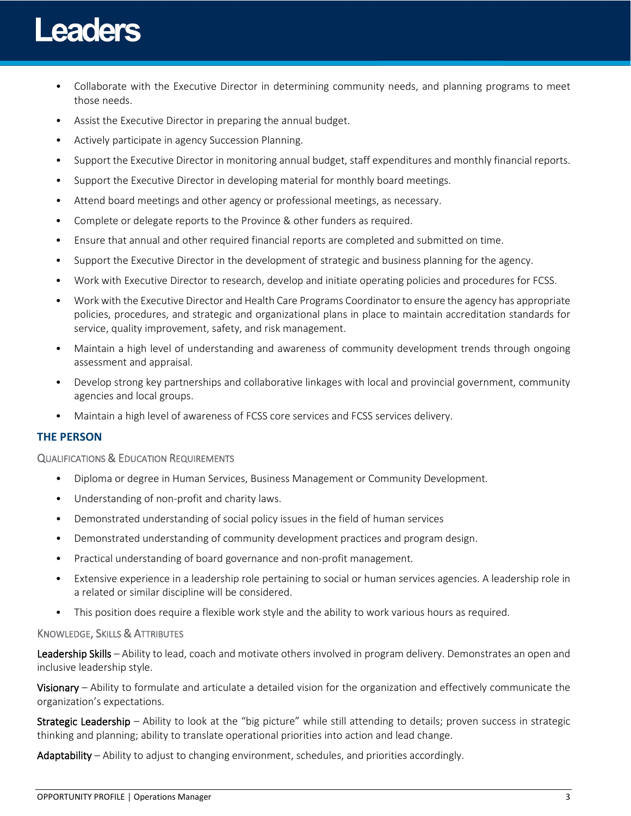# **Leaders**

- Collaborate with the Executive Director in determining community needs, and planning programs to meet those needs.
- Assist the Executive Director in preparing the annual budget.
- Actively participate in agency Succession Planning.
- Support the Executive Director in monitoring annual budget, staff expenditures and monthly financial reports.
- Support the Executive Director in developing material for monthly board meetings.
- Attend board meetings and other agency or professional meetings, as necessary.
- Complete or delegate reports to the Province & other funders as required.
- Ensure that annual and other required financial reports are completed and submitted on time.
- Support the Executive Director in the development of strategic and business planning for the agency.
- Work with Executive Director to research, develop and initiate operating policies and procedures for FCSS.
- Work with the Executive Director and Health Care Programs Coordinator to ensure the agency has appropriate policies, procedures, and strategic and organizational plans in place to maintain accreditation standards for service, quality improvement, safety, and risk management.
- Maintain a high level of understanding and awareness of community development trends through ongoing assessment and appraisal.
- Develop strong key partnerships and collaborative linkages with local and provincial government, community agencies and local groups.
- Maintain a high level of awareness of FCSS core services and FCSS services delivery.

# **THE PERSON**

### QUALIFICATIONS & EDUCATION REQUIREMENTS

- Diploma or degree in Human Services, Business Management or Community Development.
- Understanding of non-profit and charity laws.
- Demonstrated understanding of social policy issues in the field of human services
- Demonstrated understanding of community development practices and program design.
- Practical understanding of board governance and non-profit management.
- Extensive experience in a leadership role pertaining to social or human services agencies. A leadership role in a related or similar discipline will be considered.
- This position does require a flexible work style and the ability to work various hours as required.

### KNOWLEDGE, SKILLS & ATTRIBUTES

Leadership Skills – Ability to lead, coach and motivate others involved in program delivery. Demonstrates an open and inclusive leadership style.

Visionary – Ability to formulate and articulate a detailed vision for the organization and effectively communicate the organization's expectations.

Strategic Leadership – Ability to look at the "big picture" while still attending to details; proven success in strategic thinking and planning; ability to translate operational priorities into action and lead change.

Adaptability – Ability to adjust to changing environment, schedules, and priorities accordingly.